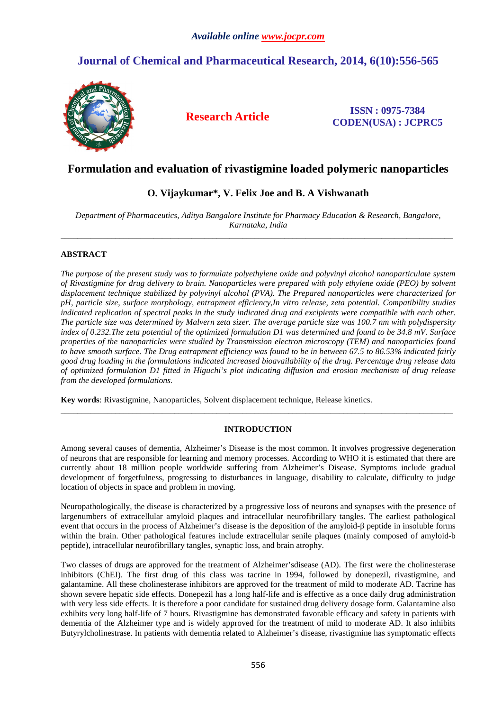# **Journal of Chemical and Pharmaceutical Research, 2014, 6(10):556-565**



**Research Article ISSN : 0975-7384 CODEN(USA) : JCPRC5**

## **Formulation and evaluation of rivastigmine loaded polymeric nanoparticles**

## **O. Vijaykumar\*, V. Felix Joe and B. A Vishwanath**

*Department of Pharmaceutics, Aditya Bangalore Institute for Pharmacy Education & Research, Bangalore, Karnataka, India*   $\overline{a}$  , and the contribution of the contribution of the contribution of the contribution of the contribution of the contribution of the contribution of the contribution of the contribution of the contribution of the co

## **ABSTRACT**

*The purpose of the present study was to formulate polyethylene oxide and polyvinyl alcohol nanoparticulate system of Rivastigmine for drug delivery to brain. Nanoparticles were prepared with poly ethylene oxide (PEO) by solvent displacement technique stabilized by polyvinyl alcohol (PVA). The Prepared nanoparticles were characterized for pH, particle size, surface morphology, entrapment efficiency,In vitro release, zeta potential. Compatibility studies indicated replication of spectral peaks in the study indicated drug and excipients were compatible with each other. The particle size was determined by Malvern zeta sizer. The average particle size was 100.7 nm with polydispersity index of 0.232.The zeta potential of the optimized formulation D1 was determined and found to be 34.8 mV. Surface properties of the nanoparticles were studied by Transmission electron microscopy (TEM) and nanoparticles found to have smooth surface. The Drug entrapment efficiency was found to be in between 67.5 to 86.53% indicated fairly good drug loading in the formulations indicated increased bioavailability of the drug. Percentage drug release data of optimized formulation D1 fitted in Higuchi's plot indicating diffusion and erosion mechanism of drug release from the developed formulations.* 

**Key words**: Rivastigmine, Nanoparticles, Solvent displacement technique, Release kinetics.

## **INTRODUCTION**

\_\_\_\_\_\_\_\_\_\_\_\_\_\_\_\_\_\_\_\_\_\_\_\_\_\_\_\_\_\_\_\_\_\_\_\_\_\_\_\_\_\_\_\_\_\_\_\_\_\_\_\_\_\_\_\_\_\_\_\_\_\_\_\_\_\_\_\_\_\_\_\_\_\_\_\_\_\_\_\_\_\_\_\_\_\_\_\_\_\_\_\_\_

Among several causes of dementia, Alzheimer's Disease is the most common. It involves progressive degeneration of neurons that are responsible for learning and memory processes. According to WHO it is estimated that there are currently about 18 million people worldwide suffering from Alzheimer's Disease. Symptoms include gradual development of forgetfulness, progressing to disturbances in language, disability to calculate, difficulty to judge location of objects in space and problem in moving.

Neuropathologically, the disease is characterized by a progressive loss of neurons and synapses with the presence of largenumbers of extracellular amyloid plaques and intracellular neurofibrillary tangles. The earliest pathological event that occurs in the process of Alzheimer's disease is the deposition of the amyloid-β peptide in insoluble forms within the brain. Other pathological features include extracellular senile plaques (mainly composed of amyloid-b peptide), intracellular neurofibrillary tangles, synaptic loss, and brain atrophy.

Two classes of drugs are approved for the treatment of Alzheimer'sdisease (AD). The first were the cholinesterase inhibitors (ChEI). The first drug of this class was tacrine in 1994, followed by donepezil, rivastigmine, and galantamine. All these cholinesterase inhibitors are approved for the treatment of mild to moderate AD. Tacrine has shown severe hepatic side effects. Donepezil has a long half-life and is effective as a once daily drug administration with very less side effects. It is therefore a poor candidate for sustained drug delivery dosage form. Galantamine also exhibits very long half-life of 7 hours. Rivastigmine has demonstrated favorable efficacy and safety in patients with dementia of the Alzheimer type and is widely approved for the treatment of mild to moderate AD. It also inhibits Butyrylcholinestrase. In patients with dementia related to Alzheimer's disease, rivastigmine has symptomatic effects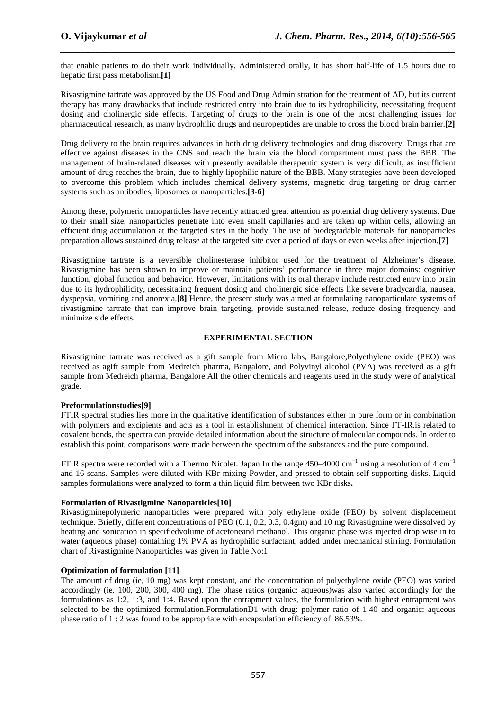that enable patients to do their work individually. Administered orally, it has short half-life of 1.5 hours due to hepatic first pass metabolism.**[1]**

*\_\_\_\_\_\_\_\_\_\_\_\_\_\_\_\_\_\_\_\_\_\_\_\_\_\_\_\_\_\_\_\_\_\_\_\_\_\_\_\_\_\_\_\_\_\_\_\_\_\_\_\_\_\_\_\_\_\_\_\_\_\_\_\_\_\_\_\_\_\_\_\_\_\_\_\_\_\_*

Rivastigmine tartrate was approved by the US Food and Drug Administration for the treatment of AD, but its current therapy has many drawbacks that include restricted entry into brain due to its hydrophilicity, necessitating frequent dosing and cholinergic side effects. Targeting of drugs to the brain is one of the most challenging issues for pharmaceutical research, as many hydrophilic drugs and neuropeptides are unable to cross the blood brain barrier.**[2]** 

Drug delivery to the brain requires advances in both drug delivery technologies and drug discovery. Drugs that are effective against diseases in the CNS and reach the brain via the blood compartment must pass the BBB. The management of brain-related diseases with presently available therapeutic system is very difficult, as insufficient amount of drug reaches the brain, due to highly lipophilic nature of the BBB. Many strategies have been developed to overcome this problem which includes chemical delivery systems, magnetic drug targeting or drug carrier systems such as antibodies, liposomes or nanoparticles.**[3-6]**

Among these, polymeric nanoparticles have recently attracted great attention as potential drug delivery systems. Due to their small size, nanoparticles penetrate into even small capillaries and are taken up within cells, allowing an efficient drug accumulation at the targeted sites in the body. The use of biodegradable materials for nanoparticles preparation allows sustained drug release at the targeted site over a period of days or even weeks after injection.**[7]** 

Rivastigmine tartrate is a reversible cholinesterase inhibitor used for the treatment of Alzheimer's disease. Rivastigmine has been shown to improve or maintain patients' performance in three major domains: cognitive function, global function and behavior. However, limitations with its oral therapy include restricted entry into brain due to its hydrophilicity, necessitating frequent dosing and cholinergic side effects like severe bradycardia, nausea, dyspepsia, vomiting and anorexia.**[8]** Hence, the present study was aimed at formulating nanoparticulate systems of rivastigmine tartrate that can improve brain targeting, provide sustained release, reduce dosing frequency and minimize side effects.

### **EXPERIMENTAL SECTION**

Rivastigmine tartrate was received as a gift sample from Micro labs, Bangalore,Polyethylene oxide (PEO) was received as agift sample from Medreich pharma, Bangalore, and Polyvinyl alcohol (PVA) was received as a gift sample from Medreich pharma, Bangalore.All the other chemicals and reagents used in the study were of analytical grade.

## **Preformulationstudies[9]**

FTIR spectral studies lies more in the qualitative identification of substances either in pure form or in combination with polymers and excipients and acts as a tool in establishment of chemical interaction. Since FT-IR is related to covalent bonds, the spectra can provide detailed information about the structure of molecular compounds. In order to establish this point, comparisons were made between the spectrum of the substances and the pure compound.

FTIR spectra were recorded with a Thermo Nicolet. Japan In the range 450–4000 cm−1 using a resolution of 4 cm−1 and 16 scans. Samples were diluted with KBr mixing Powder, and pressed to obtain self-supporting disks. Liquid samples formulations were analyzed to form a thin liquid film between two KBr disks**.** 

### **Formulation of Rivastigmine Nanoparticles[10]**

Rivastigminepolymeric nanoparticles were prepared with poly ethylene oxide (PEO) by solvent displacement technique. Briefly, different concentrations of PEO (0.1, 0.2, 0.3, 0.4gm) and 10 mg Rivastigmine were dissolved by heating and sonication in specifiedvolume of acetoneand methanol. This organic phase was injected drop wise in to water (aqueous phase) containing 1% PVA as hydrophilic surfactant, added under mechanical stirring. Formulation chart of Rivastigmine Nanoparticles was given in Table No:1

### **Optimization of formulation [11]**

The amount of drug (ie, 10 mg) was kept constant, and the concentration of polyethylene oxide (PEO) was varied accordingly (ie, 100, 200, 300, 400 mg). The phase ratios (organic: aqueous)was also varied accordingly for the formulations as 1:2, 1:3, and 1:4. Based upon the entrapment values, the formulation with highest entrapment was selected to be the optimized formulation.FormulationD1 with drug: polymer ratio of 1:40 and organic: aqueous phase ratio of 1 : 2 was found to be appropriate with encapsulation efficiency of 86.53%.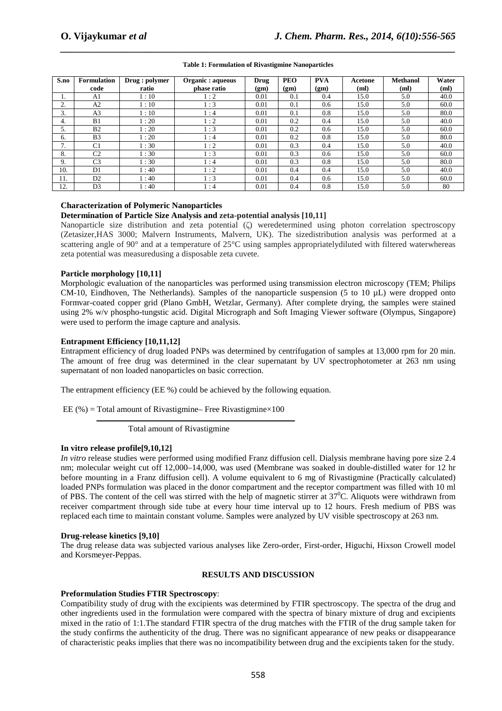| S.no | <b>Formulation</b><br>code | Drug : polymer<br>ratio | Organic : aqueous<br>phase ratio | Drug<br>(gm) | <b>PEO</b><br>(gm) | <b>PVA</b><br>(gm) | Acetone<br>(ml) | <b>Methanol</b><br>(ml) | Water<br>(ml) |
|------|----------------------------|-------------------------|----------------------------------|--------------|--------------------|--------------------|-----------------|-------------------------|---------------|
|      | A1                         | 1:10                    | 1:2                              | 0.01         | 0.1                | 0.4                | 15.0            | 5.0                     | 40.0          |
| 2.   | A2                         | 1:10                    | 1:3                              | 0.01         | 0.1                | 0.6                | 15.0            | 5.0                     | 60.0          |
| 3.   | A <sub>3</sub>             | 1:10                    | 1:4                              | 0.01         | 0.1                | 0.8                | 15.0            | 5.0                     | 80.0          |
| 4.   | B1                         | 1:20                    | 1:2                              | 0.01         | 0.2                | 0.4                | 15.0            | 5.0                     | 40.0          |
| 5.   | B <sub>2</sub>             | 1:20                    | 1:3                              | 0.01         | 0.2                | 0.6                | 15.0            | 5.0                     | 60.0          |
| 6.   | B <sub>3</sub>             | 1:20                    | 1:4                              | 0.01         | 0.2                | 0.8                | 15.0            | 5.0                     | 80.0          |
| 7.   | C1                         | 1:30                    | 1:2                              | 0.01         | 0.3                | 0.4                | 15.0            | 5.0                     | 40.0          |
| 8.   | C <sub>2</sub>             | 1:30                    | 1:3                              | 0.01         | 0.3                | 0.6                | 15.0            | 5.0                     | 60.0          |
| 9.   | C <sub>3</sub>             | 1:30                    | 1:4                              | 0.01         | 0.3                | 0.8                | 15.0            | 5.0                     | 80.0          |
| 10.  | D1                         | 1:40                    | $\mathbf{1}:2$                   | 0.01         | 0.4                | 0.4                | 15.0            | 5.0                     | 40.0          |
| 11.  | D2                         | 1:40                    | 1:3                              | 0.01         | 0.4                | 0.6                | 15.0            | 5.0                     | 60.0          |
| 12.  | D <sub>3</sub>             | 1:40                    | 1:4                              | 0.01         | 0.4                | 0.8                | 15.0            | 5.0                     | 80            |

## *\_\_\_\_\_\_\_\_\_\_\_\_\_\_\_\_\_\_\_\_\_\_\_\_\_\_\_\_\_\_\_\_\_\_\_\_\_\_\_\_\_\_\_\_\_\_\_\_\_\_\_\_\_\_\_\_\_\_\_\_\_\_\_\_\_\_\_\_\_\_\_\_\_\_\_\_\_\_* **Table 1: Formulation of Rivastigmine Nanoparticles**

### **Characterization of Polymeric Nanoparticles**

#### **Determination of Particle Size Analysis and zeta-potential analysis [10,11]**

Nanoparticle size distribution and zeta potential (ζ) weredetermined using photon correlation spectroscopy (Zetasizer,HAS 3000; Malvern Instruments, Malvern, UK). The sizedistribution analysis was performed at a scattering angle of 90° and at a temperature of 25°C using samples appropriatelydiluted with filtered waterwhereas zeta potential was measuredusing a disposable zeta cuvete.

### **Particle morphology [10,11]**

Morphologic evaluation of the nanoparticles was performed using transmission electron microscopy (TEM; Philips CM-10, Eindhoven, The Netherlands). Samples of the nanoparticle suspension (5 to 10 µL) were dropped onto Formvar-coated copper grid (Plano GmbH, Wetzlar, Germany). After complete drying, the samples were stained using 2% w/v phospho-tungstic acid. Digital Micrograph and Soft Imaging Viewer software (Olympus, Singapore) were used to perform the image capture and analysis.

#### **Entrapment Efficiency [10,11,12]**

Entrapment efficiency of drug loaded PNPs was determined by centrifugation of samples at 13,000 rpm for 20 min. The amount of free drug was determined in the clear supernatant by UV spectrophotometer at 263 nm using supernatant of non loaded nanoparticles on basic correction.

The entrapment efficiency (EE %) could be achieved by the following equation.

EE (%) = Total amount of Rivastigmine– Free Rivastigmine $\times$ 100

Total amount of Rivastigmine

### **In vitro release profile[9,10,12]**

*In vitro* release studies were performed using modified Franz diffusion cell. Dialysis membrane having pore size 2.4 nm; molecular weight cut off 12,000–14,000, was used (Membrane was soaked in double-distilled water for 12 hr before mounting in a Franz diffusion cell). A volume equivalent to 6 mg of Rivastigmine (Practically calculated) loaded PNPs formulation was placed in the donor compartment and the receptor compartment was filled with 10 ml of PBS. The content of the cell was stirred with the help of magnetic stirrer at  $37^{\circ}$ C. Aliquots were withdrawn from receiver compartment through side tube at every hour time interval up to 12 hours. Fresh medium of PBS was replaced each time to maintain constant volume. Samples were analyzed by UV visible spectroscopy at 263 nm.

#### **Drug-release kinetics [9,10]**

The drug release data was subjected various analyses like Zero-order, First-order, Higuchi, Hixson Crowell model and Korsmeyer-Peppas.

### **RESULTS AND DISCUSSION**

### **Preformulation Studies FTIR Spectroscopy**:

Compatibility study of drug with the excipients was determined by FTIR spectroscopy. The spectra of the drug and other ingredients used in the formulation were compared with the spectra of binary mixture of drug and excipients mixed in the ratio of 1:1.The standard FTIR spectra of the drug matches with the FTIR of the drug sample taken for the study confirms the authenticity of the drug. There was no significant appearance of new peaks or disappearance of characteristic peaks implies that there was no incompatibility between drug and the excipients taken for the study.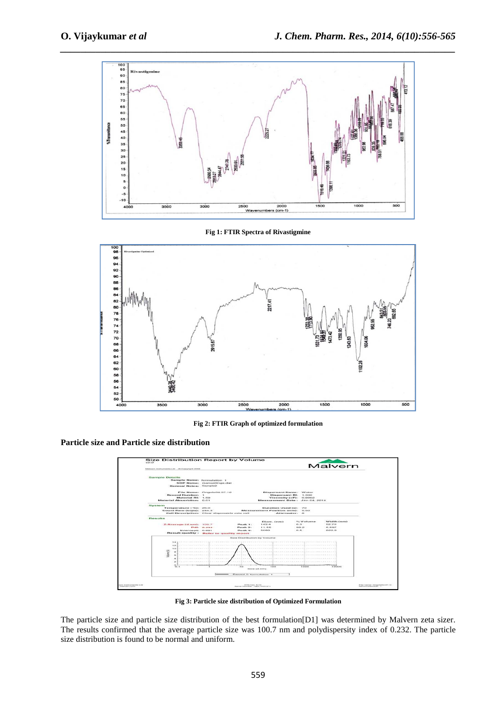

**Fig 1: FTIR Spectra of Rivastigmine** 



**Fig 2: FTIR Graph of optimized formulation**

**Particle size and Particle size distribution** 



**Fig 3: Particle size distribution of Optimized Formulation** 

The particle size and particle size distribution of the best formulation[D1] was determined by Malvern zeta sizer. The results confirmed that the average particle size was 100.7 nm and polydispersity index of 0.232. The particle size distribution is found to be normal and uniform.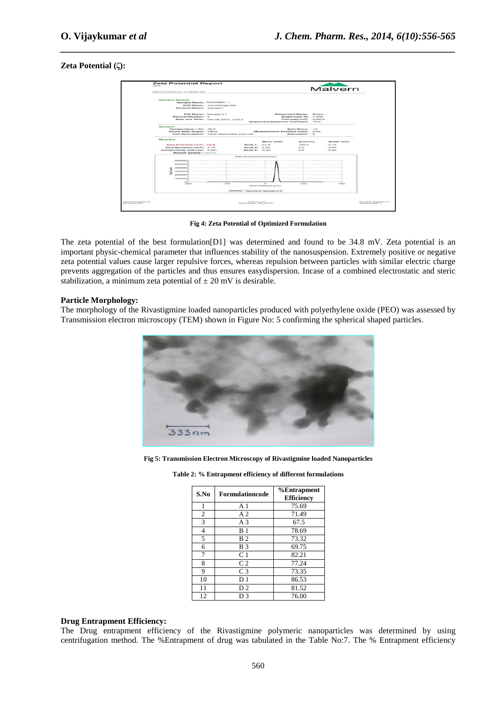### **Zeta Potential (ζ):**



*\_\_\_\_\_\_\_\_\_\_\_\_\_\_\_\_\_\_\_\_\_\_\_\_\_\_\_\_\_\_\_\_\_\_\_\_\_\_\_\_\_\_\_\_\_\_\_\_\_\_\_\_\_\_\_\_\_\_\_\_\_\_\_\_\_\_\_\_\_\_\_\_\_\_\_\_\_\_*

**Fig 4: Zeta Potential of Optimized Formulation**

The zeta potential of the best formulation[D1] was determined and found to be 34.8 mV. Zeta potential is an important physic-chemical parameter that influences stability of the nanosuspension. Extremely positive or negative zeta potential values cause larger repulsive forces, whereas repulsion between particles with similar electric charge prevents aggregation of the particles and thus ensures easydispersion. Incase of a combined electrostatic and steric stabilization, a minimum zeta potential of  $\pm 20$  mV is desirable.

#### **Particle Morphology:**

The morphology of the Rivastigmine loaded nanoparticles produced with polyethylene oxide (PEO) was assessed by Transmission electron microscopy (TEM) shown in Figure No: 5 confirming the spherical shaped particles.



**Fig 5: Transmission Electron Microscopy of Rivastigmine loaded Nanoparticles** 

| S.No           | <b>Formulationcode</b> | %Entrapment<br><b>Efficiency</b> |  |  |  |  |
|----------------|------------------------|----------------------------------|--|--|--|--|
| 1              | A <sub>1</sub>         | 75.69                            |  |  |  |  |
| $\overline{2}$ | A <sub>2</sub>         | 71.49                            |  |  |  |  |
| 3              | A <sub>3</sub>         | 67.5                             |  |  |  |  |
| $\overline{4}$ | B <sub>1</sub>         | 78.69                            |  |  |  |  |
| 5              | B <sub>2</sub>         | 73.32                            |  |  |  |  |
| 6              | B <sub>3</sub>         | 69.75                            |  |  |  |  |
| 7              | C <sub>1</sub>         | 82.21                            |  |  |  |  |
| 8              | C <sub>2</sub>         | 77.24                            |  |  |  |  |
| 9              | C <sub>3</sub>         | 73.35                            |  |  |  |  |
| 10             | D 1                    | 86.53                            |  |  |  |  |
| 11             | D2                     | 81.52                            |  |  |  |  |
| 12             | D3                     | 76.00                            |  |  |  |  |

**Table 2: % Entrapment efficiency of different formulations** 

## **Drug Entrapment Efficiency:**

The Drug entrapment efficiency of the Rivastigmine polymeric nanoparticles was determined by using centrifugation method. The %Entrapment of drug was tabulated in the Table No:7. The % Entrapment efficiency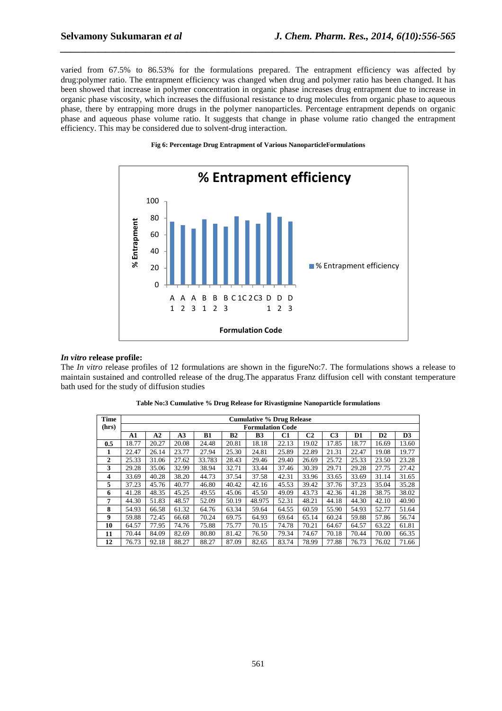varied from 67.5% to 86.53% for the formulations prepared. The entrapment efficiency was affected by drug:polymer ratio. The entrapment efficiency was changed when drug and polymer ratio has been changed. It has been showed that increase in polymer concentration in organic phase increases drug entrapment due to increase in organic phase viscosity, which increases the diffusional resistance to drug molecules from organic phase to aqueous phase, there by entrapping more drugs in the polymer nanoparticles. Percentage entrapment depends on organic phase and aqueous phase volume ratio. It suggests that change in phase volume ratio changed the entrapment efficiency. This may be considered due to solvent-drug interaction.

*\_\_\_\_\_\_\_\_\_\_\_\_\_\_\_\_\_\_\_\_\_\_\_\_\_\_\_\_\_\_\_\_\_\_\_\_\_\_\_\_\_\_\_\_\_\_\_\_\_\_\_\_\_\_\_\_\_\_\_\_\_\_\_\_\_\_\_\_\_\_\_\_\_\_\_\_\_\_*





#### *In vitro* **release profile:**

The *In vitro* release profiles of 12 formulations are shown in the figureNo:7. The formulations shows a release to maintain sustained and controlled release of the drug.The apparatus Franz diffusion cell with constant temperature bath used for the study of diffusion studies

| <b>Time</b>             | <b>Cumulative % Drug Release</b> |       |       |        |           |                         |       |                |                |       |               |                |
|-------------------------|----------------------------------|-------|-------|--------|-----------|-------------------------|-------|----------------|----------------|-------|---------------|----------------|
| (hrs)                   |                                  |       |       |        |           | <b>Formulation Code</b> |       |                |                |       |               |                |
|                         | A1                               | A2    | A3    | B1     | <b>B2</b> | <b>B3</b>               | C1    | C <sub>2</sub> | C <sub>3</sub> | D1    | $\mathbf{D2}$ | D <sub>3</sub> |
| 0.5                     | 18.77                            | 20.27 | 20.08 | 24.48  | 20.81     | 18.18                   | 22.13 | 19.02          | 17.85          | 18.77 | 16.69         | 13.60          |
| 1                       | 22.47                            | 26.14 | 23.77 | 27.94  | 25.30     | 24.81                   | 25.89 | 22.89          | 21.31          | 22.47 | 19.08         | 19.77          |
| $\overline{2}$          | 25.33                            | 31.06 | 27.62 | 33.783 | 28.43     | 29.46                   | 29.40 | 26.69          | 25.72          | 25.33 | 23.50         | 23.28          |
| 3                       | 29.28                            | 35.06 | 32.99 | 38.94  | 32.71     | 33.44                   | 37.46 | 30.39          | 29.71          | 29.28 | 27.75         | 27.42          |
| $\overline{\mathbf{4}}$ | 33.69                            | 40.28 | 38.20 | 44.73  | 37.54     | 37.58                   | 42.31 | 33.96          | 33.65          | 33.69 | 31.14         | 31.65          |
| 5                       | 37.23                            | 45.76 | 40.77 | 46.80  | 40.42     | 42.16                   | 45.53 | 39.42          | 37.76          | 37.23 | 35.04         | 35.28          |
| 6                       | 41.28                            | 48.35 | 45.25 | 49.55  | 45.06     | 45.50                   | 49.09 | 43.73          | 42.36          | 41.28 | 38.75         | 38.02          |
| 7                       | 44.30                            | 51.83 | 48.57 | 52.09  | 50.19     | 48.975                  | 52.31 | 48.21          | 44.18          | 44.30 | 42.10         | 40.90          |
| 8                       | 54.93                            | 66.58 | 61.32 | 64.76  | 63.34     | 59.64                   | 64.55 | 60.59          | 55.90          | 54.93 | 52.77         | 51.64          |
| 9                       | 59.88                            | 72.45 | 66.68 | 70.24  | 69.75     | 64.93                   | 69.64 | 65.14          | 60.24          | 59.88 | 57.86         | 56.74          |
| 10                      | 64.57                            | 77.95 | 74.76 | 75.88  | 75.77     | 70.15                   | 74.78 | 70.21          | 64.67          | 64.57 | 63.22         | 61.81          |
| 11                      | 70.44                            | 84.09 | 82.69 | 80.80  | 81.42     | 76.50                   | 79.34 | 74.67          | 70.18          | 70.44 | 70.00         | 66.35          |
| 12                      | 76.73                            | 92.18 | 88.27 | 88.27  | 87.09     | 82.65                   | 83.74 | 78.99          | 77.88          | 76.73 | 76.02         | 71.66          |

|  | Table No:3 Cumulative % Drug Release for Rivastigmine Nanoparticle formulations |
|--|---------------------------------------------------------------------------------|
|--|---------------------------------------------------------------------------------|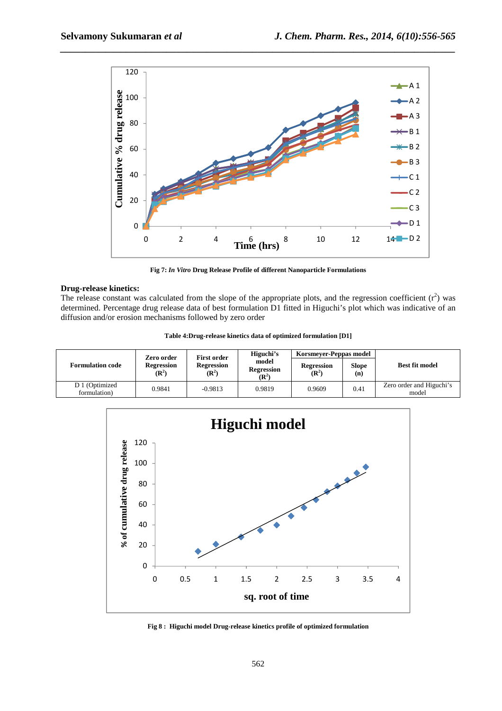

*\_\_\_\_\_\_\_\_\_\_\_\_\_\_\_\_\_\_\_\_\_\_\_\_\_\_\_\_\_\_\_\_\_\_\_\_\_\_\_\_\_\_\_\_\_\_\_\_\_\_\_\_\_\_\_\_\_\_\_\_\_\_\_\_\_\_\_\_\_\_\_\_\_\_\_\_\_\_*

**Fig 7:** *In Vitro* **Drug Release Profile of different Nanoparticle Formulations** 

#### **Drug-release kinetics:**

The release constant was calculated from the slope of the appropriate plots, and the regression coefficient  $(r^2)$  was determined. Percentage drug release data of best formulation D1 fitted in Higuchi's plot which was indicative of an diffusion and/or erosion mechanisms followed by zero order

|  |  |  |  |  | Table 4: Drug-release kinetics data of optimized formulation [D1] |  |  |  |
|--|--|--|--|--|-------------------------------------------------------------------|--|--|--|
|  |  |  |  |  |                                                                   |  |  |  |

|                                | Zero order                            | <b>First order</b>                    | Higuchi's                                      | Korsmever-Peppas model                |              |                                   |  |
|--------------------------------|---------------------------------------|---------------------------------------|------------------------------------------------|---------------------------------------|--------------|-----------------------------------|--|
| <b>Formulation code</b>        | <b>Regression</b><br>$(\mathbb{R}^2)$ | <b>Regression</b><br>$(\mathbb{R}^2)$ | model<br><b>Regression</b><br>$(\mathbf{R}^2)$ | <b>Regression</b><br>$(\mathbf{R}^2)$ | Slope<br>(n) | <b>Best fit model</b>             |  |
| D 1 (Optimized<br>formulation) | 0.9841                                | $-0.9813$                             | 0.9819                                         | 0.9609                                | 0.41         | Zero order and Higuchi's<br>model |  |



**Fig 8 : Higuchi model Drug-release kinetics profile of optimized formulation**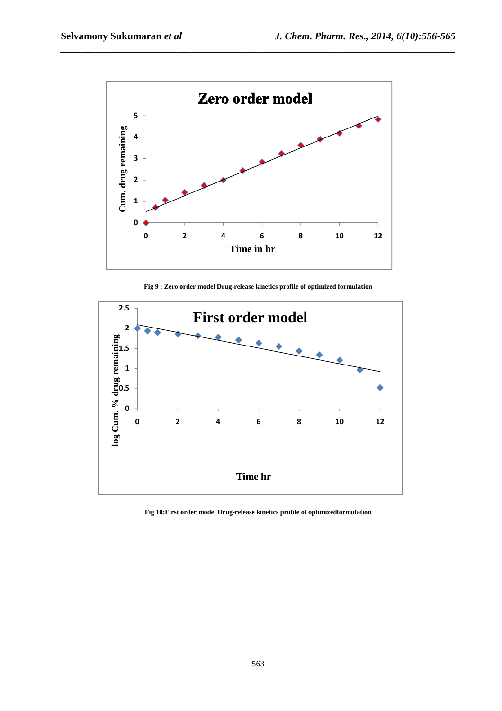

*\_\_\_\_\_\_\_\_\_\_\_\_\_\_\_\_\_\_\_\_\_\_\_\_\_\_\_\_\_\_\_\_\_\_\_\_\_\_\_\_\_\_\_\_\_\_\_\_\_\_\_\_\_\_\_\_\_\_\_\_\_\_\_\_\_\_\_\_\_\_\_\_\_\_\_\_\_\_*

**Fig 9 : Zero order model Drug Drug-release kinetics profile of optimized formulation**



Fig 10: First order model Drug-release kinetics profile of optimizedformulation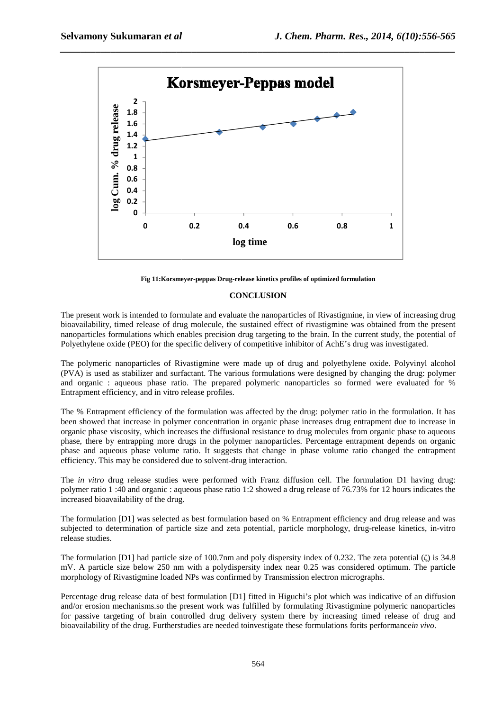

*\_\_\_\_\_\_\_\_\_\_\_\_\_\_\_\_\_\_\_\_\_\_\_\_\_\_\_\_\_\_\_\_\_\_\_\_\_\_\_\_\_\_\_\_\_\_\_\_\_\_\_\_\_\_\_\_\_\_\_\_\_\_\_\_\_\_\_\_\_\_\_\_\_\_\_\_\_\_*

**Fig 11:Korsmeyer :Korsmeyer-peppas Drug***-***release kinetics profiles of optimized formulation**

### **CONCLUSION**

The present work is intended to formulate and evaluate the nanoparticles of Rivastigmine, in view of increasing drug bioavailability, timed release of drug molecule, the sustained effect of rivastigmine was obtained from the present nanoparticles formulations which enables precision drug targeting to the brain. In the current study, the potential of Polyethylene oxide (PEO) for the specific delivery of competitive inhibitor of AchE's drug was investigated.

The polymeric nanoparticles of Rivastigmine were made up of drug and polyethylene oxide. Polyvinyl alcohol (PVA) is used as stabilizer and surfactant. The various formulations were designed by changing the drug: polymer and organic : aqueous phase ratio. The prepared polymeric nanoparticles so formed were evaluated for % Entrapment efficiency, and in vitro release profiles.

The % Entrapment efficiency of the formulation was affected by the drug: polymer ratio in the formulation. It has been showed that increase in polymer concentration in organic phase increases drug entrapment due to increase in organic phase viscosity, which increases the diffusional resistance to drug molecules from organic phase to aqueous been showed that increase in polymer concentration in organic phase increases drug entrapment due to increase in<br>organic phase viscosity, which increases the diffusional resistance to drug molecules from organic phase to a phase and aqueous phase volume ratio. It suggests that change in phase volume ratio changed the entrapment efficiency. This may be considered due to solvent-drug interaction. phase, there by entrapping more drugs in the polymer nanoparticles. Percentage entrapment depends on organic phase and aqueous phase volume ratio. It suggests that change in phase volume ratio changed the entrapment effici

polymer ratio 1 :40 and organic : aqueous phase ratio 1:2 showed a drug release of 76.73% for 12 hours indicates the increased bioavailability of the drug.

The formulation [D1] was selected as best formulation based on % Entrapment efficiency and drug release and was subjected to determination of particle size and zeta potential, particle morphology, drug-release kinetics, in-vitro release studies.

The formulation [D1] had particle size of 100.7nm and poly dispersity index of 0.232. The zeta potential ( ζ) is 34.8 mV. A particle size below 250 nm with a polydispersity index near 0.25 was considered optimum. The particle morphology of Rivastigmine loaded NPs was confirmed by Transmission electron micrographs. ion [D1] had particle size of 100.7nm and poly dispersity index of 0.232. The zeta<br>cle size below 250 nm with a polydispersity index near 0.25 was considered op<br>of Rivastigmine loaded NPs was confirmed by Transmission elec

Percentage drug release data of best formulation [D1] fitted in Higuchi's plot which was indicative of an diffusion and/or erosion mechanisms.so the present work was fulfilled by formulating Rivastigmine polymeric nanoparticles for passive targeting of brain controlled drug delivery system there by increasing timed release of drug and bioavailability of the drug. Furtherstudies are needed toinvestigate these formulations forit onfirmed by Transmission electron micrographs.<br>
on [D1] fitted in Higuchi's plot which was indicative of an diffi<br>
k was fulfilled by formulating Rivastigmine polymeric nanopar<br>
g delivery system there by increasing timed